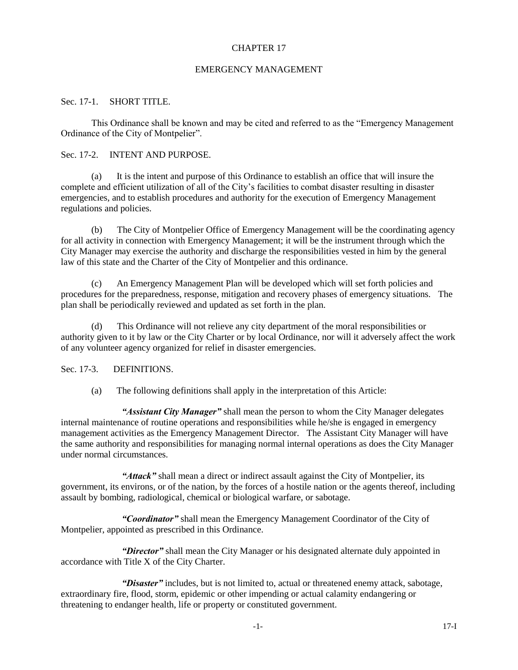### CHAPTER 17

### EMERGENCY MANAGEMENT

### Sec. 17-1. SHORT TITLE.

This Ordinance shall be known and may be cited and referred to as the "Emergency Management Ordinance of the City of Montpelier".

#### Sec. 17-2. INTENT AND PURPOSE.

(a) It is the intent and purpose of this Ordinance to establish an office that will insure the complete and efficient utilization of all of the City's facilities to combat disaster resulting in disaster emergencies, and to establish procedures and authority for the execution of Emergency Management regulations and policies.

(b) The City of Montpelier Office of Emergency Management will be the coordinating agency for all activity in connection with Emergency Management; it will be the instrument through which the City Manager may exercise the authority and discharge the responsibilities vested in him by the general law of this state and the Charter of the City of Montpelier and this ordinance.

(c) An Emergency Management Plan will be developed which will set forth policies and procedures for the preparedness, response, mitigation and recovery phases of emergency situations. The plan shall be periodically reviewed and updated as set forth in the plan.

(d) This Ordinance will not relieve any city department of the moral responsibilities or authority given to it by law or the City Charter or by local Ordinance, nor will it adversely affect the work of any volunteer agency organized for relief in disaster emergencies.

### Sec. 17-3. **DEFINITIONS.**

(a) The following definitions shall apply in the interpretation of this Article:

*"Assistant City Manager"* shall mean the person to whom the City Manager delegates internal maintenance of routine operations and responsibilities while he/she is engaged in emergency management activities as the Emergency Management Director. The Assistant City Manager will have the same authority and responsibilities for managing normal internal operations as does the City Manager under normal circumstances.

"Attack" shall mean a direct or indirect assault against the City of Montpelier, its government, its environs, or of the nation, by the forces of a hostile nation or the agents thereof, including assault by bombing, radiological, chemical or biological warfare, or sabotage.

*"Coordinator"* shall mean the Emergency Management Coordinator of the City of Montpelier, appointed as prescribed in this Ordinance.

*"Director"* shall mean the City Manager or his designated alternate duly appointed in accordance with Title X of the City Charter.

*"Disaster"* includes, but is not limited to, actual or threatened enemy attack, sabotage, extraordinary fire, flood, storm, epidemic or other impending or actual calamity endangering or threatening to endanger health, life or property or constituted government.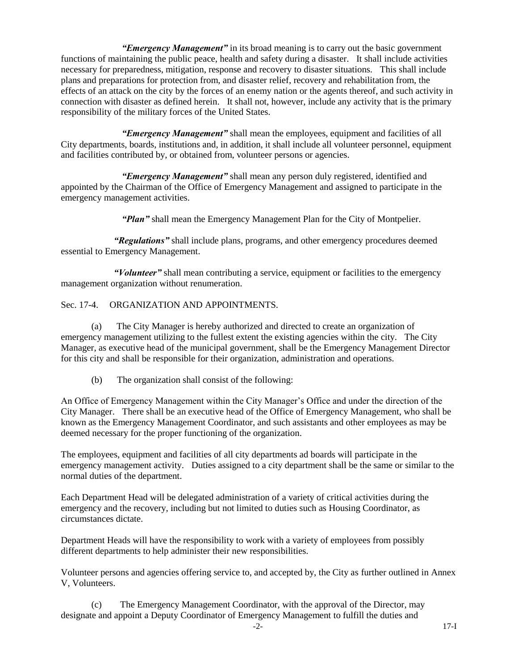*"Emergency Management"* in its broad meaning is to carry out the basic government functions of maintaining the public peace, health and safety during a disaster. It shall include activities necessary for preparedness, mitigation, response and recovery to disaster situations. This shall include plans and preparations for protection from, and disaster relief, recovery and rehabilitation from, the effects of an attack on the city by the forces of an enemy nation or the agents thereof, and such activity in connection with disaster as defined herein. It shall not, however, include any activity that is the primary responsibility of the military forces of the United States.

*"Emergency Management"* shall mean the employees, equipment and facilities of all City departments, boards, institutions and, in addition, it shall include all volunteer personnel, equipment and facilities contributed by, or obtained from, volunteer persons or agencies.

*"Emergency Management"* shall mean any person duly registered, identified and appointed by the Chairman of the Office of Emergency Management and assigned to participate in the emergency management activities.

*"Plan"* shall mean the Emergency Management Plan for the City of Montpelier.

 *"Regulations"* shall include plans, programs, and other emergency procedures deemed essential to Emergency Management.

 *"Volunteer"* shall mean contributing a service, equipment or facilities to the emergency management organization without renumeration.

# Sec. 17-4. ORGANIZATION AND APPOINTMENTS.

(a) The City Manager is hereby authorized and directed to create an organization of emergency management utilizing to the fullest extent the existing agencies within the city. The City Manager, as executive head of the municipal government, shall be the Emergency Management Director for this city and shall be responsible for their organization, administration and operations.

(b) The organization shall consist of the following:

An Office of Emergency Management within the City Manager's Office and under the direction of the City Manager. There shall be an executive head of the Office of Emergency Management, who shall be known as the Emergency Management Coordinator, and such assistants and other employees as may be deemed necessary for the proper functioning of the organization.

The employees, equipment and facilities of all city departments ad boards will participate in the emergency management activity. Duties assigned to a city department shall be the same or similar to the normal duties of the department.

Each Department Head will be delegated administration of a variety of critical activities during the emergency and the recovery, including but not limited to duties such as Housing Coordinator, as circumstances dictate.

Department Heads will have the responsibility to work with a variety of employees from possibly different departments to help administer their new responsibilities.

Volunteer persons and agencies offering service to, and accepted by, the City as further outlined in Annex V, Volunteers.

(c) The Emergency Management Coordinator, with the approval of the Director, may designate and appoint a Deputy Coordinator of Emergency Management to fulfill the duties and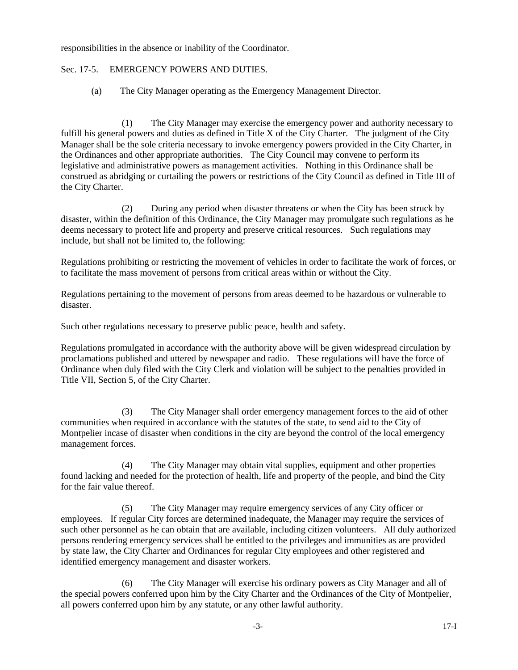responsibilities in the absence or inability of the Coordinator.

# Sec. 17-5. EMERGENCY POWERS AND DUTIES.

(a) The City Manager operating as the Emergency Management Director.

(1) The City Manager may exercise the emergency power and authority necessary to fulfill his general powers and duties as defined in Title X of the City Charter. The judgment of the City Manager shall be the sole criteria necessary to invoke emergency powers provided in the City Charter, in the Ordinances and other appropriate authorities. The City Council may convene to perform its legislative and administrative powers as management activities. Nothing in this Ordinance shall be construed as abridging or curtailing the powers or restrictions of the City Council as defined in Title III of the City Charter.

(2) During any period when disaster threatens or when the City has been struck by disaster, within the definition of this Ordinance, the City Manager may promulgate such regulations as he deems necessary to protect life and property and preserve critical resources. Such regulations may include, but shall not be limited to, the following:

Regulations prohibiting or restricting the movement of vehicles in order to facilitate the work of forces, or to facilitate the mass movement of persons from critical areas within or without the City.

Regulations pertaining to the movement of persons from areas deemed to be hazardous or vulnerable to disaster.

Such other regulations necessary to preserve public peace, health and safety.

Regulations promulgated in accordance with the authority above will be given widespread circulation by proclamations published and uttered by newspaper and radio. These regulations will have the force of Ordinance when duly filed with the City Clerk and violation will be subject to the penalties provided in Title VII, Section 5, of the City Charter.

(3) The City Manager shall order emergency management forces to the aid of other communities when required in accordance with the statutes of the state, to send aid to the City of Montpelier incase of disaster when conditions in the city are beyond the control of the local emergency management forces.

(4) The City Manager may obtain vital supplies, equipment and other properties found lacking and needed for the protection of health, life and property of the people, and bind the City for the fair value thereof.

(5) The City Manager may require emergency services of any City officer or employees. If regular City forces are determined inadequate, the Manager may require the services of such other personnel as he can obtain that are available, including citizen volunteers. All duly authorized persons rendering emergency services shall be entitled to the privileges and immunities as are provided by state law, the City Charter and Ordinances for regular City employees and other registered and identified emergency management and disaster workers.

(6) The City Manager will exercise his ordinary powers as City Manager and all of the special powers conferred upon him by the City Charter and the Ordinances of the City of Montpelier, all powers conferred upon him by any statute, or any other lawful authority.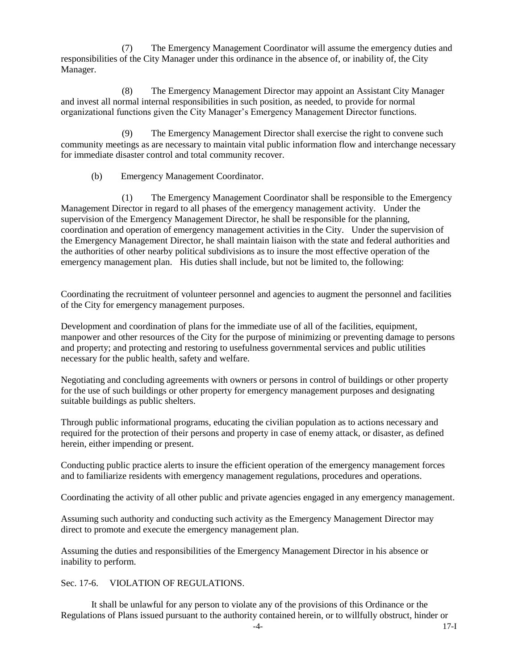(7) The Emergency Management Coordinator will assume the emergency duties and responsibilities of the City Manager under this ordinance in the absence of, or inability of, the City Manager.

(8) The Emergency Management Director may appoint an Assistant City Manager and invest all normal internal responsibilities in such position, as needed, to provide for normal organizational functions given the City Manager's Emergency Management Director functions.

(9) The Emergency Management Director shall exercise the right to convene such community meetings as are necessary to maintain vital public information flow and interchange necessary for immediate disaster control and total community recover.

(b) Emergency Management Coordinator.

(1) The Emergency Management Coordinator shall be responsible to the Emergency Management Director in regard to all phases of the emergency management activity. Under the supervision of the Emergency Management Director, he shall be responsible for the planning, coordination and operation of emergency management activities in the City. Under the supervision of the Emergency Management Director, he shall maintain liaison with the state and federal authorities and the authorities of other nearby political subdivisions as to insure the most effective operation of the emergency management plan. His duties shall include, but not be limited to, the following:

Coordinating the recruitment of volunteer personnel and agencies to augment the personnel and facilities of the City for emergency management purposes.

Development and coordination of plans for the immediate use of all of the facilities, equipment, manpower and other resources of the City for the purpose of minimizing or preventing damage to persons and property; and protecting and restoring to usefulness governmental services and public utilities necessary for the public health, safety and welfare.

Negotiating and concluding agreements with owners or persons in control of buildings or other property for the use of such buildings or other property for emergency management purposes and designating suitable buildings as public shelters.

Through public informational programs, educating the civilian population as to actions necessary and required for the protection of their persons and property in case of enemy attack, or disaster, as defined herein, either impending or present.

Conducting public practice alerts to insure the efficient operation of the emergency management forces and to familiarize residents with emergency management regulations, procedures and operations.

Coordinating the activity of all other public and private agencies engaged in any emergency management.

Assuming such authority and conducting such activity as the Emergency Management Director may direct to promote and execute the emergency management plan.

Assuming the duties and responsibilities of the Emergency Management Director in his absence or inability to perform.

Sec. 17-6. VIOLATION OF REGULATIONS.

It shall be unlawful for any person to violate any of the provisions of this Ordinance or the Regulations of Plans issued pursuant to the authority contained herein, or to willfully obstruct, hinder or